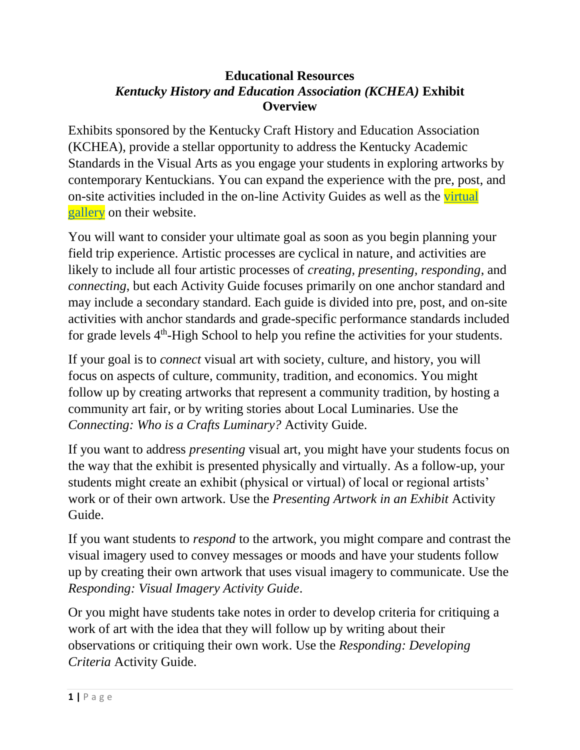#### **Educational Resources**  *Kentucky History and Education Association (KCHEA)* **Exhibit Overview**

Exhibits sponsored by the Kentucky Craft History and Education Association (KCHEA), provide a stellar opportunity to address the Kentucky Academic Standards in the Visual Arts as you engage your students in exploring artworks by contemporary Kentuckians. You can expand the experience with the pre, post, and on-site activities included in the on-line Activity Guides as well as the [virtual](https://www.kchea.org/exhibitgallery)  [gallery](https://www.kchea.org/exhibitgallery) on their website.

You will want to consider your ultimate goal as soon as you begin planning your field trip experience. Artistic processes are cyclical in nature, and activities are likely to include all four artistic processes of *creating, presenting, responding*, and *connecting*, but each Activity Guide focuses primarily on one anchor standard and may include a secondary standard. Each guide is divided into pre, post, and on-site activities with anchor standards and grade-specific performance standards included for grade levels  $4<sup>th</sup>$ -High School to help you refine the activities for your students.

If your goal is to *connect* visual art with society, culture, and history, you will focus on aspects of culture, community, tradition, and economics. You might follow up by creating artworks that represent a community tradition, by hosting a community art fair, or by writing stories about Local Luminaries. Use the *Connecting: Who is a Crafts Luminary?* Activity Guide.

If you want to address *presenting* visual art, you might have your students focus on the way that the exhibit is presented physically and virtually. As a follow-up, your students might create an exhibit (physical or virtual) of local or regional artists' work or of their own artwork. Use the *Presenting Artwork in an Exhibit* Activity Guide.

If you want students to *respond* to the artwork, you might compare and contrast the visual imagery used to convey messages or moods and have your students follow up by creating their own artwork that uses visual imagery to communicate. Use the *Responding: Visual Imagery Activity Guide*.

Or you might have students take notes in order to develop criteria for critiquing a work of art with the idea that they will follow up by writing about their observations or critiquing their own work. Use the *Responding: Developing Criteria* Activity Guide.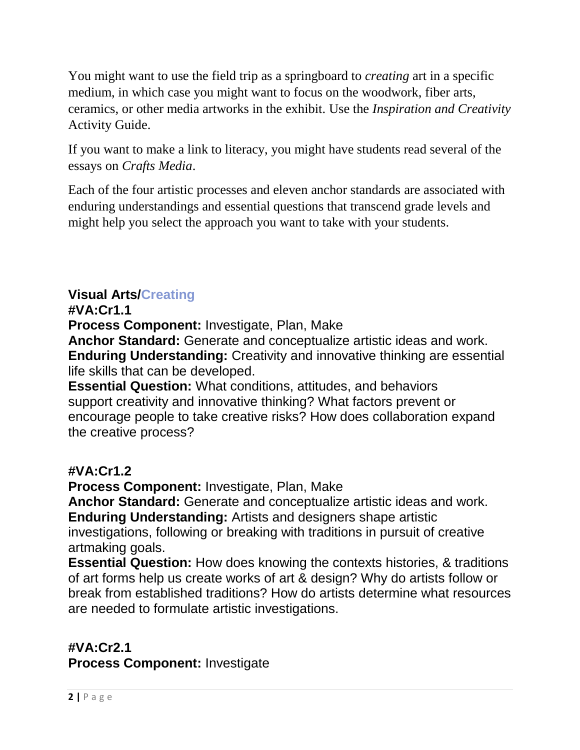You might want to use the field trip as a springboard to *creating* art in a specific medium, in which case you might want to focus on the woodwork, fiber arts, ceramics, or other media artworks in the exhibit. Use the *Inspiration and Creativity* Activity Guide.

If you want to make a link to literacy, you might have students read several of the essays on *Crafts Media*.

Each of the four artistic processes and eleven anchor standards are associated with enduring understandings and essential questions that transcend grade levels and might help you select the approach you want to take with your students.

# **Visual Arts/Creating**

#### **#VA:Cr1.1**

**Process Component:** Investigate, Plan, Make

**Anchor Standard:** Generate and conceptualize artistic ideas and work. **Enduring Understanding:** Creativity and innovative thinking are essential life skills that can be developed.

**Essential Question:** What conditions, attitudes, and behaviors support creativity and innovative thinking? What factors prevent or encourage people to take creative risks? How does collaboration expand the creative process?

# **#VA:Cr1.2**

**Process Component:** Investigate, Plan, Make

**Anchor Standard:** Generate and conceptualize artistic ideas and work. **Enduring Understanding:** Artists and designers shape artistic

investigations, following or breaking with traditions in pursuit of creative artmaking goals.

**Essential Question:** How does knowing the contexts histories, & traditions of art forms help us create works of art & design? Why do artists follow or break from established traditions? How do artists determine what resources are needed to formulate artistic investigations.

# **#VA:Cr2.1**

**Process Component:** Investigate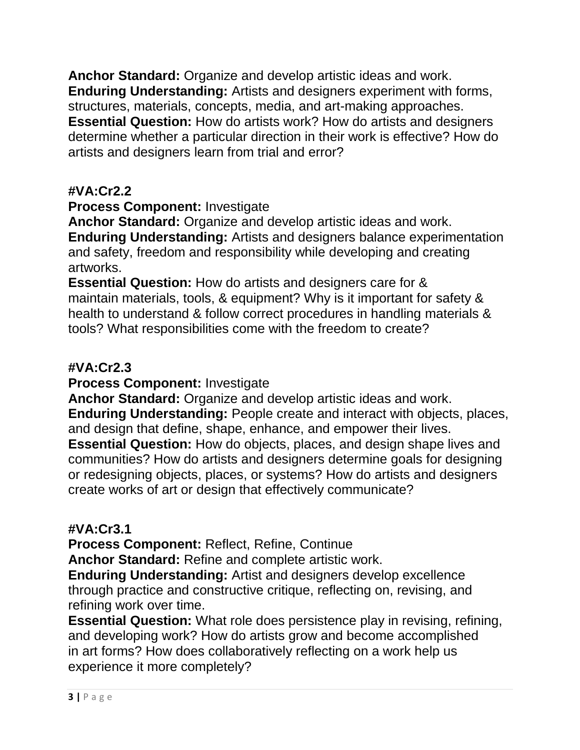**Anchor Standard:** Organize and develop artistic ideas and work. **Enduring Understanding:** Artists and designers experiment with forms, structures, materials, concepts, media, and art-making approaches. **Essential Question:** How do artists work? How do artists and designers determine whether a particular direction in their work is effective? How do artists and designers learn from trial and error?

# **#VA:Cr2.2**

## **Process Component:** Investigate

**Anchor Standard:** Organize and develop artistic ideas and work. **Enduring Understanding:** Artists and designers balance experimentation and safety, freedom and responsibility while developing and creating artworks.

**Essential Question:** How do artists and designers care for & maintain materials, tools, & equipment? Why is it important for safety & health to understand & follow correct procedures in handling materials & tools? What responsibilities come with the freedom to create?

### **#VA:Cr2.3**

**Process Component:** Investigate

**Anchor Standard:** Organize and develop artistic ideas and work.

**Enduring Understanding:** People create and interact with objects, places, and design that define, shape, enhance, and empower their lives.

**Essential Question:** How do objects, places, and design shape lives and communities? How do artists and designers determine goals for designing or redesigning objects, places, or systems? How do artists and designers create works of art or design that effectively communicate?

# **#VA:Cr3.1**

**Process Component:** Reflect, Refine, Continue

**Anchor Standard:** Refine and complete artistic work.

**Enduring Understanding:** Artist and designers develop excellence through practice and constructive critique, reflecting on, revising, and refining work over time.

**Essential Question:** What role does persistence play in revising, refining, and developing work? How do artists grow and become accomplished in art forms? How does collaboratively reflecting on a work help us experience it more completely?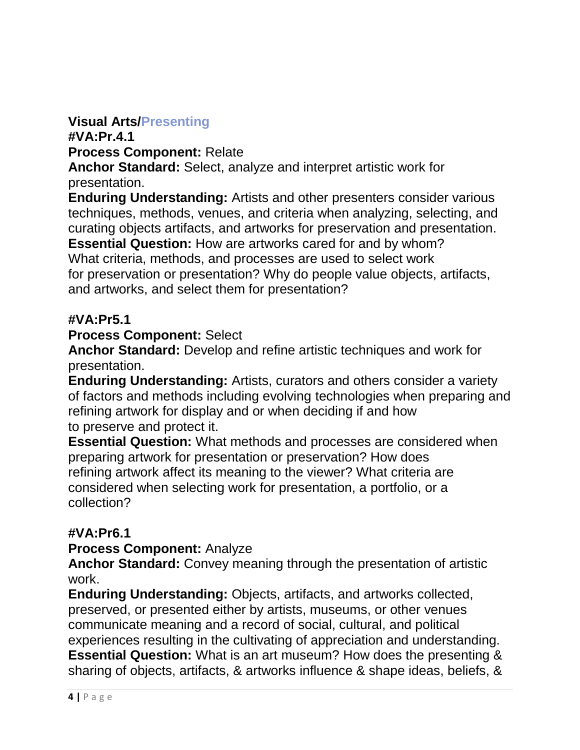## **Visual Arts/Presenting**

**#VA:Pr.4.1**

**Process Component:** Relate

**Anchor Standard:** Select, analyze and interpret artistic work for presentation.

**Enduring Understanding:** Artists and other presenters consider various techniques, methods, venues, and criteria when analyzing, selecting, and curating objects artifacts, and artworks for preservation and presentation.

**Essential Question:** How are artworks cared for and by whom? What criteria, methods, and processes are used to select work for preservation or presentation? Why do people value objects, artifacts, and artworks, and select them for presentation?

### **#VA:Pr5.1**

**Process Component:** Select

**Anchor Standard:** Develop and refine artistic techniques and work for presentation.

**Enduring Understanding:** Artists, curators and others consider a variety of factors and methods including evolving technologies when preparing and refining artwork for display and or when deciding if and how to preserve and protect it.

**Essential Question:** What methods and processes are considered when preparing artwork for presentation or preservation? How does refining artwork affect its meaning to the viewer? What criteria are considered when selecting work for presentation, a portfolio, or a collection?

### **#VA:Pr6.1**

**Process Component:** Analyze

**Anchor Standard:** Convey meaning through the presentation of artistic work.

**Enduring Understanding:** Objects, artifacts, and artworks collected, preserved, or presented either by artists, museums, or other venues communicate meaning and a record of social, cultural, and political experiences resulting in the cultivating of appreciation and understanding. **Essential Question:** What is an art museum? How does the presenting & sharing of objects, artifacts, & artworks influence & shape ideas, beliefs, &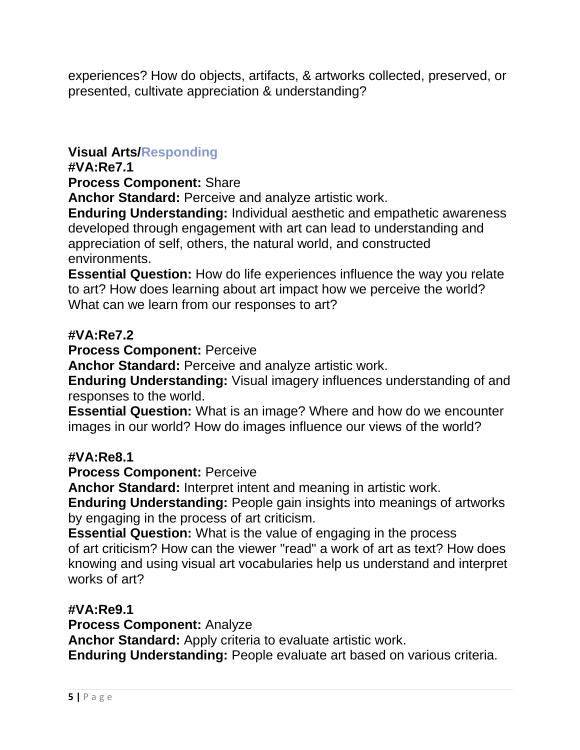experiences? How do objects, artifacts, & artworks collected, preserved, or presented, cultivate appreciation & understanding?

# **Visual Arts/Responding**

#### **#VA:Re7.1**

**Process Component:** Share

**Anchor Standard:** Perceive and analyze artistic work.

**Enduring Understanding:** Individual aesthetic and empathetic awareness developed through engagement with art can lead to understanding and appreciation of self, others, the natural world, and constructed environments.

**Essential Question:** How do life experiences influence the way you relate to art? How does learning about art impact how we perceive the world? What can we learn from our responses to art?

### **#VA:Re7.2**

**Process Component:** Perceive

**Anchor Standard:** Perceive and analyze artistic work.

**Enduring Understanding:** Visual imagery influences understanding of and responses to the world.

**Essential Question:** What is an image? Where and how do we encounter images in our world? How do images influence our views of the world?

#### **#VA:Re8.1**

**Process Component:** Perceive

**Anchor Standard:** Interpret intent and meaning in artistic work.

**Enduring Understanding:** People gain insights into meanings of artworks by engaging in the process of art criticism.

**Essential Question:** What is the value of engaging in the process of art criticism? How can the viewer "read" a work of art as text? How does knowing and using visual art vocabularies help us understand and interpret works of art?

#### **#VA:Re9.1**

**Process Component:** Analyze

**Anchor Standard:** Apply criteria to evaluate artistic work.

**Enduring Understanding:** People evaluate art based on various criteria.